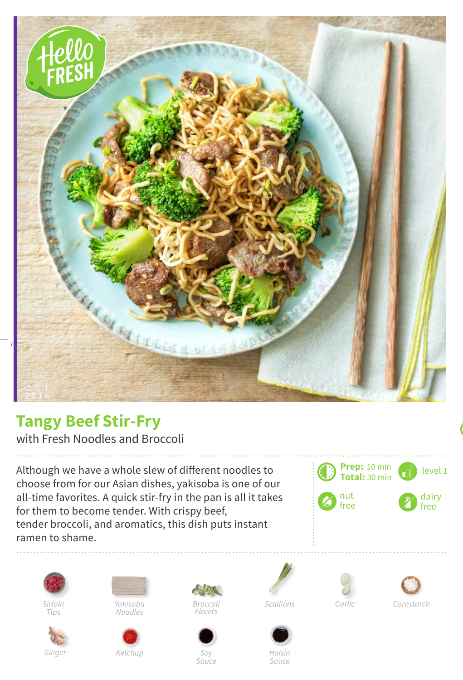

## **Tangy Beef Stir-Fry**

with Fresh Noodles and Broccoli

Although we have a whole slew of different noodles to choose from for our Asian dishes, yakisoba is one of our all-time favorites. A quick stir-fry in the pan is all it takes for them to become tender. With crispy beef, tender broccoli, and aromatics, this dish puts instant ramen to shame.





*Sirloin Tips*



*Yakisoba Noodles*





*Soy Sauce*









*Broccoli Garlic*

*Hoisin Sauce*